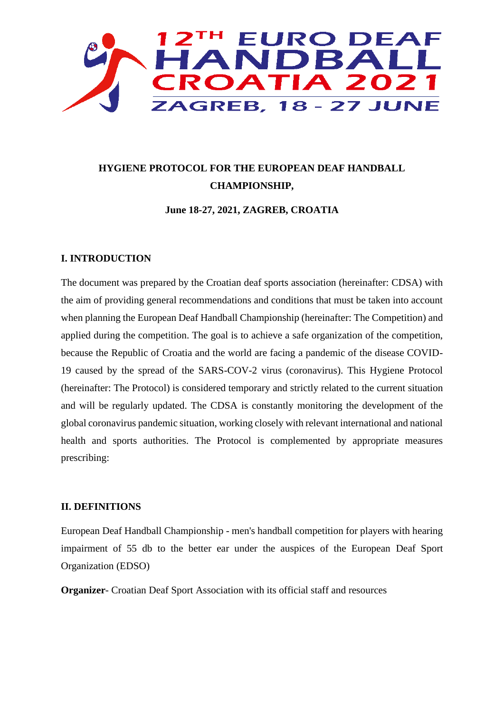

# **HYGIENE PROTOCOL FOR THE EUROPEAN DEAF HANDBALL CHAMPIONSHIP,**

**June 18-27, 2021, ZAGREB, CROATIA**

## **I. INTRODUCTION**

The document was prepared by the Croatian deaf sports association (hereinafter: CDSA) with the aim of providing general recommendations and conditions that must be taken into account when planning the European Deaf Handball Championship (hereinafter: The Competition) and applied during the competition. The goal is to achieve a safe organization of the competition, because the Republic of Croatia and the world are facing a pandemic of the disease COVID-19 caused by the spread of the SARS-COV-2 virus (coronavirus). This Hygiene Protocol (hereinafter: The Protocol) is considered temporary and strictly related to the current situation and will be regularly updated. The CDSA is constantly monitoring the development of the global coronavirus pandemic situation, working closely with relevant international and national health and sports authorities. The Protocol is complemented by appropriate measures prescribing:

# **II. DEFINITIONS**

European Deaf Handball Championship - men's handball competition for players with hearing impairment of 55 db to the better ear under the auspices of the European Deaf Sport Organization (EDSO)

**Organizer**- Croatian Deaf Sport Association with its official staff and resources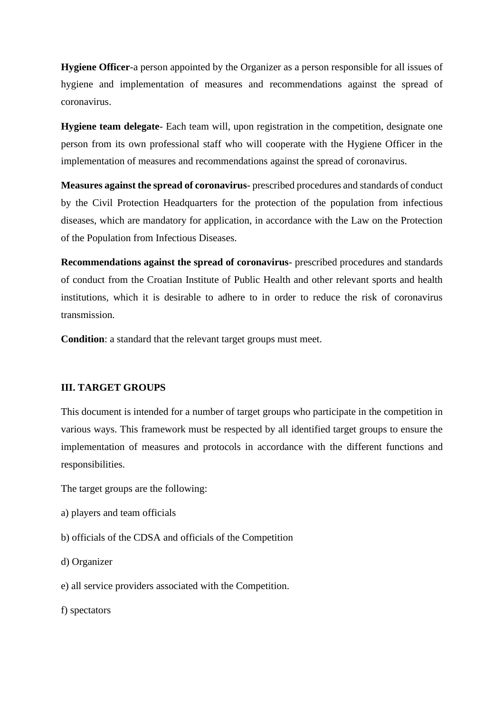**Hygiene Officer**-a person appointed by the Organizer as a person responsible for all issues of hygiene and implementation of measures and recommendations against the spread of coronavirus.

**Hygiene team delegate-** Each team will, upon registration in the competition, designate one person from its own professional staff who will cooperate with the Hygiene Officer in the implementation of measures and recommendations against the spread of coronavirus.

**Measures against the spread of coronavirus**- prescribed procedures and standards of conduct by the Civil Protection Headquarters for the protection of the population from infectious diseases, which are mandatory for application, in accordance with the Law on the Protection of the Population from Infectious Diseases.

**Recommendations against the spread of coronavirus**- prescribed procedures and standards of conduct from the Croatian Institute of Public Health and other relevant sports and health institutions, which it is desirable to adhere to in order to reduce the risk of coronavirus transmission.

**Condition**: a standard that the relevant target groups must meet.

# **III. TARGET GROUPS**

This document is intended for a number of target groups who participate in the competition in various ways. This framework must be respected by all identified target groups to ensure the implementation of measures and protocols in accordance with the different functions and responsibilities.

The target groups are the following:

- a) players and team officials
- b) officials of the CDSA and officials of the Competition
- d) Organizer
- e) all service providers associated with the Competition.

f) spectators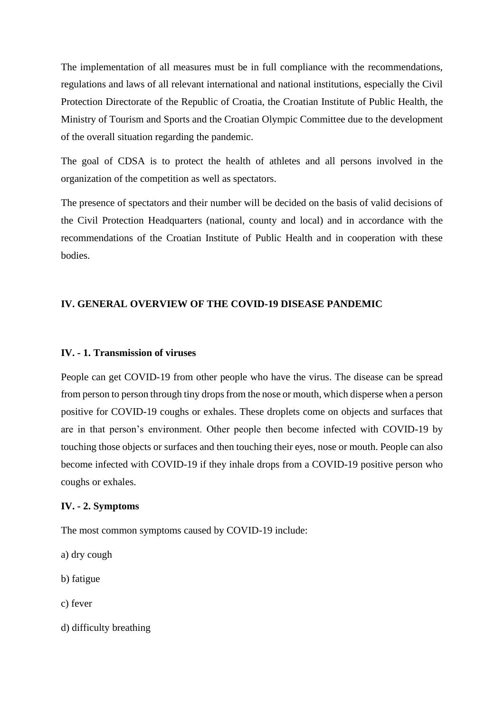The implementation of all measures must be in full compliance with the recommendations, regulations and laws of all relevant international and national institutions, especially the Civil Protection Directorate of the Republic of Croatia, the Croatian Institute of Public Health, the Ministry of Tourism and Sports and the Croatian Olympic Committee due to the development of the overall situation regarding the pandemic.

The goal of CDSA is to protect the health of athletes and all persons involved in the organization of the competition as well as spectators.

The presence of spectators and their number will be decided on the basis of valid decisions of the Civil Protection Headquarters (national, county and local) and in accordance with the recommendations of the Croatian Institute of Public Health and in cooperation with these bodies.

# **IV. GENERAL OVERVIEW OF THE COVID-19 DISEASE PANDEMIC**

#### **IV. - 1. Transmission of viruses**

People can get COVID-19 from other people who have the virus. The disease can be spread from person to person through tiny drops from the nose or mouth, which disperse when a person positive for COVID-19 coughs or exhales. These droplets come on objects and surfaces that are in that person's environment. Other people then become infected with COVID-19 by touching those objects or surfaces and then touching their eyes, nose or mouth. People can also become infected with COVID-19 if they inhale drops from a COVID-19 positive person who coughs or exhales.

### **IV. - 2. Symptoms**

The most common symptoms caused by COVID-19 include:

- a) dry cough
- b) fatigue
- c) fever
- d) difficulty breathing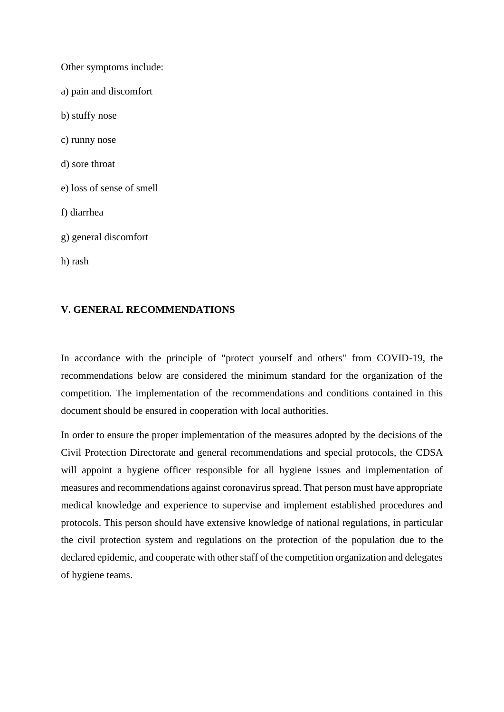Other symptoms include: a) pain and discomfort b) stuffy nose c) runny nose d) sore throat e) loss of sense of smell f) diarrhea g) general discomfort h) rash

# **V. GENERAL RECOMMENDATIONS**

In accordance with the principle of "protect yourself and others" from COVID-19, the recommendations below are considered the minimum standard for the organization of the competition. The implementation of the recommendations and conditions contained in this document should be ensured in cooperation with local authorities.

In order to ensure the proper implementation of the measures adopted by the decisions of the Civil Protection Directorate and general recommendations and special protocols, the CDSA will appoint a hygiene officer responsible for all hygiene issues and implementation of measures and recommendations against coronavirus spread. That person must have appropriate medical knowledge and experience to supervise and implement established procedures and protocols. This person should have extensive knowledge of national regulations, in particular the civil protection system and regulations on the protection of the population due to the declared epidemic, and cooperate with other staff of the competition organization and delegates of hygiene teams.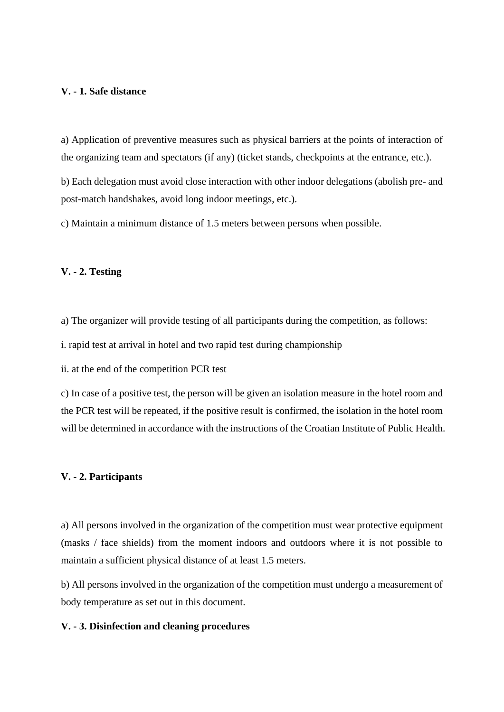# **V. - 1. Safe distance**

a) Application of preventive measures such as physical barriers at the points of interaction of the organizing team and spectators (if any) (ticket stands, checkpoints at the entrance, etc.).

b) Each delegation must avoid close interaction with other indoor delegations (abolish pre- and post-match handshakes, avoid long indoor meetings, etc.).

c) Maintain a minimum distance of 1.5 meters between persons when possible.

### **V. - 2. Testing**

a) The organizer will provide testing of all participants during the competition, as follows:

i. rapid test at arrival in hotel and two rapid test during championship

ii. at the end of the competition PCR test

c) In case of a positive test, the person will be given an isolation measure in the hotel room and the PCR test will be repeated, if the positive result is confirmed, the isolation in the hotel room will be determined in accordance with the instructions of the Croatian Institute of Public Health.

### **V. - 2. Participants**

a) All persons involved in the organization of the competition must wear protective equipment (masks / face shields) from the moment indoors and outdoors where it is not possible to maintain a sufficient physical distance of at least 1.5 meters.

b) All persons involved in the organization of the competition must undergo a measurement of body temperature as set out in this document.

#### **V. - 3. Disinfection and cleaning procedures**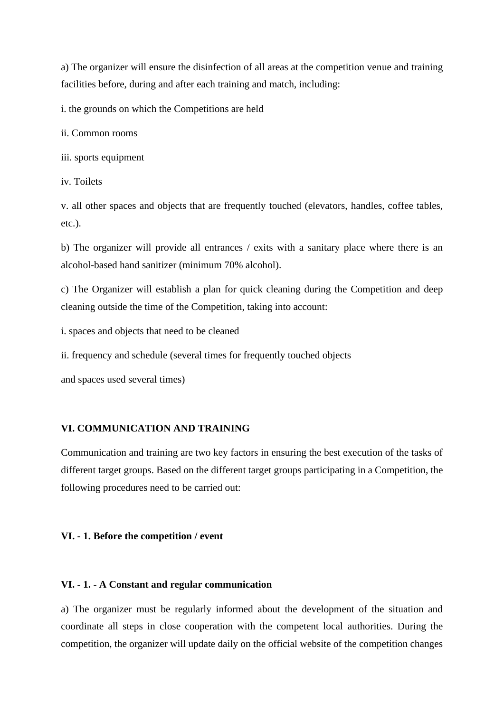a) The organizer will ensure the disinfection of all areas at the competition venue and training facilities before, during and after each training and match, including:

i. the grounds on which the Competitions are held

ii. Common rooms

iii. sports equipment

iv. Toilets

v. all other spaces and objects that are frequently touched (elevators, handles, coffee tables, etc.).

b) The organizer will provide all entrances / exits with a sanitary place where there is an alcohol-based hand sanitizer (minimum 70% alcohol).

c) The Organizer will establish a plan for quick cleaning during the Competition and deep cleaning outside the time of the Competition, taking into account:

i. spaces and objects that need to be cleaned

ii. frequency and schedule (several times for frequently touched objects

and spaces used several times)

## **VI. COMMUNICATION AND TRAINING**

Communication and training are two key factors in ensuring the best execution of the tasks of different target groups. Based on the different target groups participating in a Competition, the following procedures need to be carried out:

#### **VI. - 1. Before the competition / event**

## **VI. - 1. - A Constant and regular communication**

a) The organizer must be regularly informed about the development of the situation and coordinate all steps in close cooperation with the competent local authorities. During the competition, the organizer will update daily on the official website of the competition changes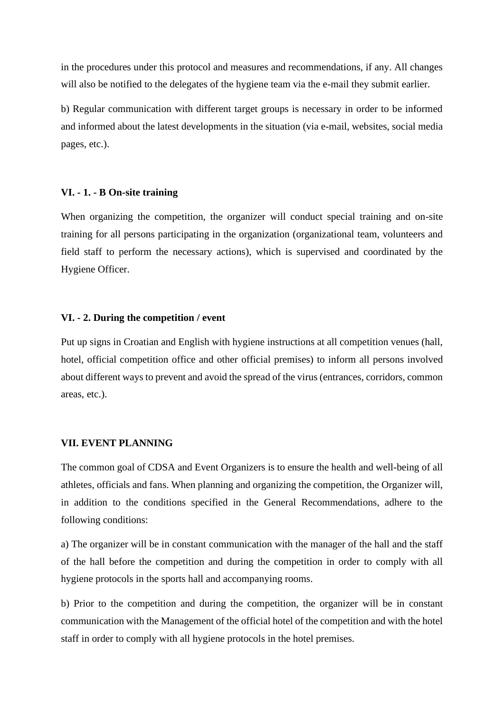in the procedures under this protocol and measures and recommendations, if any. All changes will also be notified to the delegates of the hygiene team via the e-mail they submit earlier.

b) Regular communication with different target groups is necessary in order to be informed and informed about the latest developments in the situation (via e-mail, websites, social media pages, etc.).

### **VI. - 1. - B On-site training**

When organizing the competition, the organizer will conduct special training and on-site training for all persons participating in the organization (organizational team, volunteers and field staff to perform the necessary actions), which is supervised and coordinated by the Hygiene Officer.

#### **VI. - 2. During the competition / event**

Put up signs in Croatian and English with hygiene instructions at all competition venues (hall, hotel, official competition office and other official premises) to inform all persons involved about different ways to prevent and avoid the spread of the virus (entrances, corridors, common areas, etc.).

# **VII. EVENT PLANNING**

The common goal of CDSA and Event Organizers is to ensure the health and well-being of all athletes, officials and fans. When planning and organizing the competition, the Organizer will, in addition to the conditions specified in the General Recommendations, adhere to the following conditions:

a) The organizer will be in constant communication with the manager of the hall and the staff of the hall before the competition and during the competition in order to comply with all hygiene protocols in the sports hall and accompanying rooms.

b) Prior to the competition and during the competition, the organizer will be in constant communication with the Management of the official hotel of the competition and with the hotel staff in order to comply with all hygiene protocols in the hotel premises.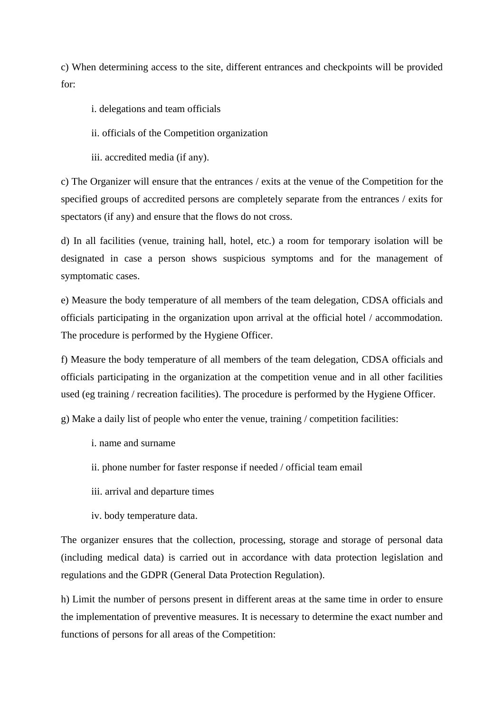c) When determining access to the site, different entrances and checkpoints will be provided for:

- i. delegations and team officials
- ii. officials of the Competition organization
- iii. accredited media (if any).

c) The Organizer will ensure that the entrances / exits at the venue of the Competition for the specified groups of accredited persons are completely separate from the entrances / exits for spectators (if any) and ensure that the flows do not cross.

d) In all facilities (venue, training hall, hotel, etc.) a room for temporary isolation will be designated in case a person shows suspicious symptoms and for the management of symptomatic cases.

e) Measure the body temperature of all members of the team delegation, CDSA officials and officials participating in the organization upon arrival at the official hotel / accommodation. The procedure is performed by the Hygiene Officer.

f) Measure the body temperature of all members of the team delegation, CDSA officials and officials participating in the organization at the competition venue and in all other facilities used (eg training / recreation facilities). The procedure is performed by the Hygiene Officer.

g) Make a daily list of people who enter the venue, training / competition facilities:

- i. name and surname
- ii. phone number for faster response if needed / official team email
- iii. arrival and departure times
- iv. body temperature data.

The organizer ensures that the collection, processing, storage and storage of personal data (including medical data) is carried out in accordance with data protection legislation and regulations and the GDPR (General Data Protection Regulation).

h) Limit the number of persons present in different areas at the same time in order to ensure the implementation of preventive measures. It is necessary to determine the exact number and functions of persons for all areas of the Competition: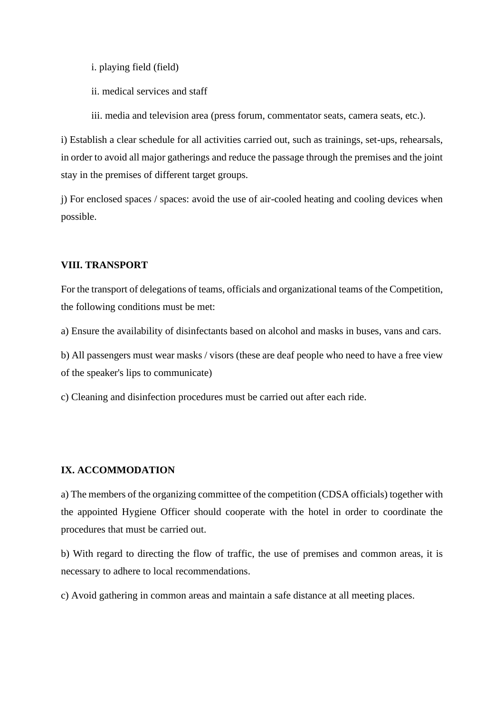i. playing field (field)

ii. medical services and staff

iii. media and television area (press forum, commentator seats, camera seats, etc.).

i) Establish a clear schedule for all activities carried out, such as trainings, set-ups, rehearsals, in order to avoid all major gatherings and reduce the passage through the premises and the joint stay in the premises of different target groups.

j) For enclosed spaces / spaces: avoid the use of air-cooled heating and cooling devices when possible.

# **VIII. TRANSPORT**

For the transport of delegations of teams, officials and organizational teams of the Competition, the following conditions must be met:

a) Ensure the availability of disinfectants based on alcohol and masks in buses, vans and cars.

b) All passengers must wear masks / visors (these are deaf people who need to have a free view of the speaker's lips to communicate)

c) Cleaning and disinfection procedures must be carried out after each ride.

# **IX. ACCOMMODATION**

a) The members of the organizing committee of the competition (CDSA officials) together with the appointed Hygiene Officer should cooperate with the hotel in order to coordinate the procedures that must be carried out.

b) With regard to directing the flow of traffic, the use of premises and common areas, it is necessary to adhere to local recommendations.

c) Avoid gathering in common areas and maintain a safe distance at all meeting places.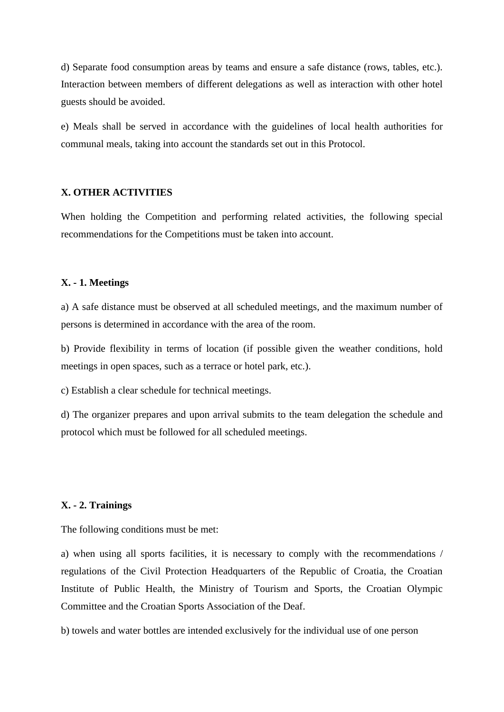d) Separate food consumption areas by teams and ensure a safe distance (rows, tables, etc.). Interaction between members of different delegations as well as interaction with other hotel guests should be avoided.

e) Meals shall be served in accordance with the guidelines of local health authorities for communal meals, taking into account the standards set out in this Protocol.

### **X. OTHER ACTIVITIES**

When holding the Competition and performing related activities, the following special recommendations for the Competitions must be taken into account.

### **X. - 1. Meetings**

a) A safe distance must be observed at all scheduled meetings, and the maximum number of persons is determined in accordance with the area of the room.

b) Provide flexibility in terms of location (if possible given the weather conditions, hold meetings in open spaces, such as a terrace or hotel park, etc.).

c) Establish a clear schedule for technical meetings.

d) The organizer prepares and upon arrival submits to the team delegation the schedule and protocol which must be followed for all scheduled meetings.

## **X. - 2. Trainings**

The following conditions must be met:

a) when using all sports facilities, it is necessary to comply with the recommendations / regulations of the Civil Protection Headquarters of the Republic of Croatia, the Croatian Institute of Public Health, the Ministry of Tourism and Sports, the Croatian Olympic Committee and the Croatian Sports Association of the Deaf.

b) towels and water bottles are intended exclusively for the individual use of one person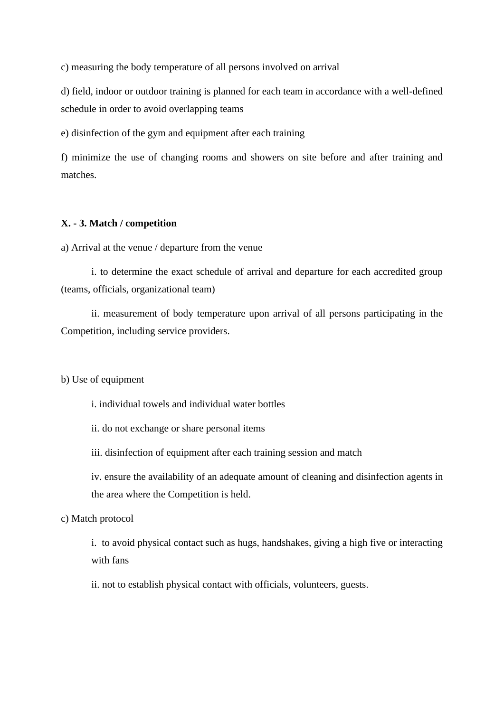c) measuring the body temperature of all persons involved on arrival

d) field, indoor or outdoor training is planned for each team in accordance with a well-defined schedule in order to avoid overlapping teams

e) disinfection of the gym and equipment after each training

f) minimize the use of changing rooms and showers on site before and after training and matches.

## **X. - 3. Match / competition**

a) Arrival at the venue / departure from the venue

i. to determine the exact schedule of arrival and departure for each accredited group (teams, officials, organizational team)

ii. measurement of body temperature upon arrival of all persons participating in the Competition, including service providers.

b) Use of equipment

i. individual towels and individual water bottles

ii. do not exchange or share personal items

iii. disinfection of equipment after each training session and match

iv. ensure the availability of an adequate amount of cleaning and disinfection agents in the area where the Competition is held.

# c) Match protocol

i. to avoid physical contact such as hugs, handshakes, giving a high five or interacting with fans

ii. not to establish physical contact with officials, volunteers, guests.